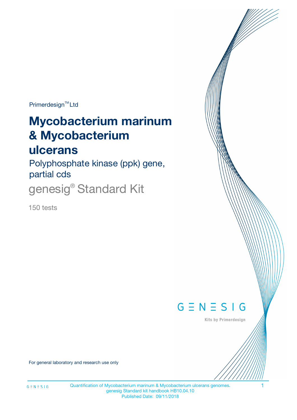Primerdesign<sup>™</sup>Ltd

# **Mycobacterium marinum & Mycobacterium**

# **ulcerans**

Polyphosphate kinase (ppk) gene, partial cds

genesig<sup>®</sup> Standard Kit

150 tests



Kits by Primerdesign

For general laboratory and research use only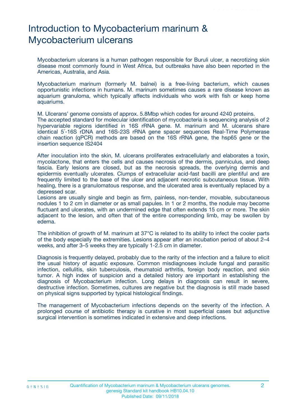# Introduction to Mycobacterium marinum & Mycobacterium ulcerans

Mycobacterium ulcerans is a human pathogen responsible for Buruli ulcer, a necrotizing skin disease most commonly found in West Africa, but outbreaks have also been reported in the Americas, Australia, and Asia.

Mycobacterium marinum (formerly M. balnei) is a free-living bacterium, which causes opportunistic infections in humans. M. marinum sometimes causes a rare disease known as aquarium granuloma, which typically affects individuals who work with fish or keep home aquariums.

M. Ulcerans' genome consists of approx. 5.8Mbp which codes for around 4240 proteins.

The accepted standard for molecular identification of mycobacteria is sequencing analysis of 2 hypervariable regions identified in 16S rRNA gene. M. marinum and M. ulcerans share identical 5´-16S rDNA and 16S-23S rRNA gene spacer sequences Real-Time Polymerase chain reaction (qPCR) methods are based on the 16S rRNA gene, the hsp65 gene or the insertion sequence IS2404

After inoculation into the skin, M. ulcerans proliferates extracellularly and elaborates a toxin, mycolactone, that enters the cells and causes necrosis of the dermis, panniculus, and deep fascia. Early lesions are closed, but as the necrosis spreads, the overlying dermis and epidermis eventually ulcerates. Clumps of extracellular acid-fast bacilli are plentiful and are frequently limited to the base of the ulcer and adjacent necrotic subcutaneous tissue. With healing, there is a granulomatous response, and the ulcerated area is eventually replaced by a depressed scar.

Lesions are usually single and begin as firm, painless, non-tender, movable, subcutaneous nodules 1 to 2 cm in diameter or as small papules. In 1 or 2 months, the nodule may become fluctuant and ulcerates, with an undermined edge that often extends 15 cm or more. The skin adjacent to the lesion, and often that of the entire corresponding limb, may be swollen by edema.

The inhibition of growth of M. marinum at 37°C is related to its ability to infect the cooler parts of the body especially the extremities. Lesions appear after an incubation period of about 2–4 weeks, and after 3–5 weeks they are typically 1-2.5 cm in diameter.

Diagnosis is frequently delayed, probably due to the rarity of the infection and a failure to elicit the usual history of aquatic exposure. Common misdiagnoses include fungal and parasitic infection, cellulitis, skin tuberculosis, rheumatoid arthritis, foreign body reaction, and skin tumor. A high index of suspicion and a detailed history are important in establishing the diagnosis of Mycobacterium infection. Long delays in diagnosis can result in severe, destructive infection. Sometimes, cultures are negative but the diagnosis is still made based on physical signs supported by typical histological findings.

The management of Mycobacterium infections depends on the severity of the infection. A prolonged course of antibiotic therapy is curative in most superficial cases but adjunctive surgical intervention is sometimes indicated in extensive and deep infections.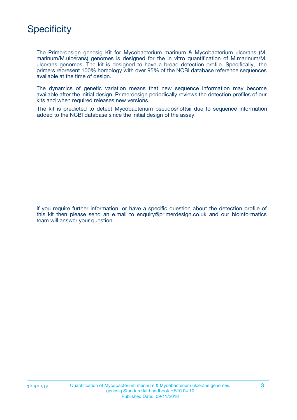# **Specificity**

The Primerdesign genesig Kit for Mycobacterium marinum & Mycobacterium ulcerans (M. marinum/M.ulcerans) genomes is designed for the in vitro quantification of M.marinum/M. ulcerans genomes. The kit is designed to have a broad detection profile. Specifically, the primers represent 100% homology with over 95% of the NCBI database reference sequences available at the time of design.

The dynamics of genetic variation means that new sequence information may become available after the initial design. Primerdesign periodically reviews the detection profiles of our kits and when required releases new versions.

The kit is predicted to detect Mycobacterium pseudoshottsii due to sequence information added to the NCBI database since the initial design of the assay.

If you require further information, or have a specific question about the detection profile of this kit then please send an e.mail to enquiry@primerdesign.co.uk and our bioinformatics team will answer your question.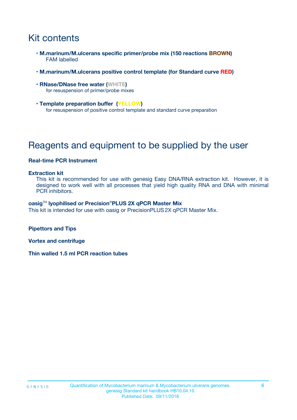# Kit contents

- **M.marinum/M.ulcerans specific primer/probe mix (150 reactions BROWN)** FAM labelled
- **M.marinum/M.ulcerans positive control template (for Standard curve RED)**
- **RNase/DNase free water (WHITE)** for resuspension of primer/probe mixes
- **Template preparation buffer (YELLOW)** for resuspension of positive control template and standard curve preparation

# Reagents and equipment to be supplied by the user

### **Real-time PCR Instrument**

#### **Extraction kit**

This kit is recommended for use with genesig Easy DNA/RNA extraction kit. However, it is designed to work well with all processes that yield high quality RNA and DNA with minimal PCR inhibitors.

#### **oasig**TM **lyophilised or Precision**®**PLUS 2X qPCR Master Mix**

This kit is intended for use with oasig or PrecisionPLUS2X qPCR Master Mix.

**Pipettors and Tips**

**Vortex and centrifuge**

**Thin walled 1.5 ml PCR reaction tubes**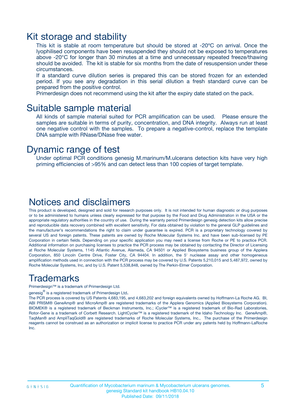### Kit storage and stability

This kit is stable at room temperature but should be stored at -20ºC on arrival. Once the lyophilised components have been resuspended they should not be exposed to temperatures above -20°C for longer than 30 minutes at a time and unnecessary repeated freeze/thawing should be avoided. The kit is stable for six months from the date of resuspension under these circumstances.

If a standard curve dilution series is prepared this can be stored frozen for an extended period. If you see any degradation in this serial dilution a fresh standard curve can be prepared from the positive control.

Primerdesign does not recommend using the kit after the expiry date stated on the pack.

### Suitable sample material

All kinds of sample material suited for PCR amplification can be used. Please ensure the samples are suitable in terms of purity, concentration, and DNA integrity. Always run at least one negative control with the samples. To prepare a negative-control, replace the template DNA sample with RNase/DNase free water.

### Dynamic range of test

Under optimal PCR conditions genesig M.marinum/M.ulcerans detection kits have very high priming efficiencies of >95% and can detect less than 100 copies of target template.

### Notices and disclaimers

This product is developed, designed and sold for research purposes only. It is not intended for human diagnostic or drug purposes or to be administered to humans unless clearly expressed for that purpose by the Food and Drug Administration in the USA or the appropriate regulatory authorities in the country of use. During the warranty period Primerdesign genesig detection kits allow precise and reproducible data recovery combined with excellent sensitivity. For data obtained by violation to the general GLP guidelines and the manufacturer's recommendations the right to claim under guarantee is expired. PCR is a proprietary technology covered by several US and foreign patents. These patents are owned by Roche Molecular Systems Inc. and have been sub-licensed by PE Corporation in certain fields. Depending on your specific application you may need a license from Roche or PE to practice PCR. Additional information on purchasing licenses to practice the PCR process may be obtained by contacting the Director of Licensing at Roche Molecular Systems, 1145 Atlantic Avenue, Alameda, CA 94501 or Applied Biosystems business group of the Applera Corporation, 850 Lincoln Centre Drive, Foster City, CA 94404. In addition, the 5' nuclease assay and other homogeneous amplification methods used in connection with the PCR process may be covered by U.S. Patents 5,210,015 and 5,487,972, owned by Roche Molecular Systems, Inc, and by U.S. Patent 5,538,848, owned by The Perkin-Elmer Corporation.

### Trademarks

Primerdesign™ is a trademark of Primerdesign Ltd.

genesig $^\circledR$  is a registered trademark of Primerdesign Ltd.

The PCR process is covered by US Patents 4,683,195, and 4,683,202 and foreign equivalents owned by Hoffmann-La Roche AG. BI, ABI PRISM® GeneAmp® and MicroAmp® are registered trademarks of the Applera Genomics (Applied Biosystems Corporation). BIOMEK® is a registered trademark of Beckman Instruments, Inc.; iCycler™ is a registered trademark of Bio-Rad Laboratories, Rotor-Gene is a trademark of Corbett Research. LightCycler™ is a registered trademark of the Idaho Technology Inc. GeneAmp®, TaqMan® and AmpliTaqGold® are registered trademarks of Roche Molecular Systems, Inc., The purchase of the Primerdesign reagents cannot be construed as an authorization or implicit license to practice PCR under any patents held by Hoffmann-LaRoche Inc.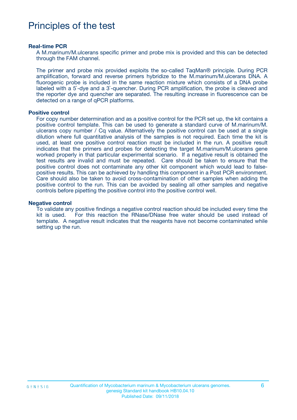# Principles of the test

#### **Real-time PCR**

A M.marinum/M.ulcerans specific primer and probe mix is provided and this can be detected through the FAM channel.

The primer and probe mix provided exploits the so-called TaqMan® principle. During PCR amplification, forward and reverse primers hybridize to the M.marinum/M.ulcerans DNA. A fluorogenic probe is included in the same reaction mixture which consists of a DNA probe labeled with a 5`-dye and a 3`-quencher. During PCR amplification, the probe is cleaved and the reporter dye and quencher are separated. The resulting increase in fluorescence can be detected on a range of qPCR platforms.

#### **Positive control**

For copy number determination and as a positive control for the PCR set up, the kit contains a positive control template. This can be used to generate a standard curve of M.marinum/M. ulcerans copy number / Cq value. Alternatively the positive control can be used at a single dilution where full quantitative analysis of the samples is not required. Each time the kit is used, at least one positive control reaction must be included in the run. A positive result indicates that the primers and probes for detecting the target M.marinum/M.ulcerans gene worked properly in that particular experimental scenario. If a negative result is obtained the test results are invalid and must be repeated. Care should be taken to ensure that the positive control does not contaminate any other kit component which would lead to falsepositive results. This can be achieved by handling this component in a Post PCR environment. Care should also be taken to avoid cross-contamination of other samples when adding the positive control to the run. This can be avoided by sealing all other samples and negative controls before pipetting the positive control into the positive control well.

#### **Negative control**

To validate any positive findings a negative control reaction should be included every time the kit is used. For this reaction the RNase/DNase free water should be used instead of template. A negative result indicates that the reagents have not become contaminated while setting up the run.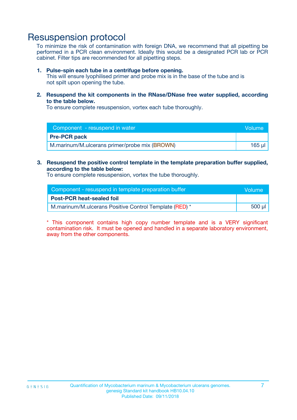## Resuspension protocol

To minimize the risk of contamination with foreign DNA, we recommend that all pipetting be performed in a PCR clean environment. Ideally this would be a designated PCR lab or PCR cabinet. Filter tips are recommended for all pipetting steps.

#### **1. Pulse-spin each tube in a centrifuge before opening.**

This will ensure lyophilised primer and probe mix is in the base of the tube and is not spilt upon opening the tube.

**2. Resuspend the kit components in the RNase/DNase free water supplied, according to the table below.**

To ensure complete resuspension, vortex each tube thoroughly.

| Component - resuspend in water                | <b>Volume</b> |
|-----------------------------------------------|---------------|
| <b>Pre-PCR pack</b>                           |               |
| M.marinum/M.ulcerans primer/probe mix (BROWN) | 165 ul        |

**3. Resuspend the positive control template in the template preparation buffer supplied, according to the table below:**

To ensure complete resuspension, vortex the tube thoroughly.

| Component - resuspend in template preparation buffer   |        |  |
|--------------------------------------------------------|--------|--|
| <b>Post-PCR heat-sealed foil</b>                       |        |  |
| M.marinum/M.ulcerans Positive Control Template (RED) * | 500 µl |  |

\* This component contains high copy number template and is a VERY significant contamination risk. It must be opened and handled in a separate laboratory environment, away from the other components.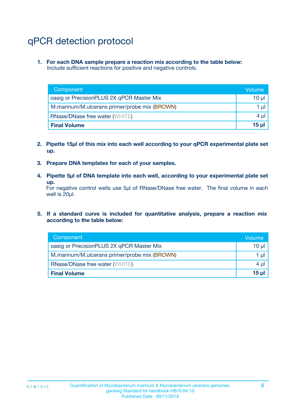# qPCR detection protocol

**1. For each DNA sample prepare a reaction mix according to the table below:** Include sufficient reactions for positive and negative controls.

| Component                                     | Volume                |
|-----------------------------------------------|-----------------------|
| oasig or PrecisionPLUS 2X qPCR Master Mix     | $10 \mu$              |
| M.marinum/M.ulcerans primer/probe mix (BROWN) | 1 µl                  |
| <b>RNase/DNase free water (WHITE)</b>         | $4 \mu$               |
| <b>Final Volume</b>                           | $15$ µ $\overline{)}$ |

- **2. Pipette 15µl of this mix into each well according to your qPCR experimental plate set up.**
- **3. Prepare DNA templates for each of your samples.**
- **4. Pipette 5µl of DNA template into each well, according to your experimental plate set up.**

For negative control wells use 5µl of RNase/DNase free water. The final volume in each well is 20µl.

**5. If a standard curve is included for quantitative analysis, prepare a reaction mix according to the table below:**

| Component                                     | Volume  |
|-----------------------------------------------|---------|
| oasig or PrecisionPLUS 2X qPCR Master Mix     | 10 µl   |
| M.marinum/M.ulcerans primer/probe mix (BROWN) | 1 µI    |
| <b>RNase/DNase free water (WHITE)</b>         | $4 \mu$ |
| <b>Final Volume</b>                           | 15 µl   |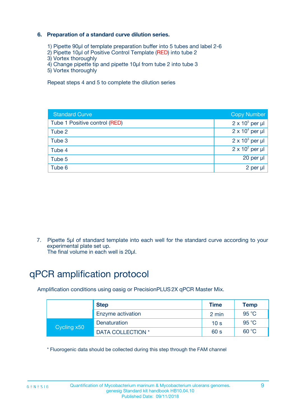### **6. Preparation of a standard curve dilution series.**

- 1) Pipette 90µl of template preparation buffer into 5 tubes and label 2-6
- 2) Pipette 10µl of Positive Control Template (RED) into tube 2
- 3) Vortex thoroughly
- 4) Change pipette tip and pipette 10µl from tube 2 into tube 3
- 5) Vortex thoroughly

Repeat steps 4 and 5 to complete the dilution series

| <b>Standard Curve</b>         | <b>Copy Number</b>     |
|-------------------------------|------------------------|
| Tube 1 Positive control (RED) | $2 \times 10^5$ per µl |
| Tube 2                        | $2 \times 10^4$ per µl |
| Tube 3                        | $2 \times 10^3$ per µl |
| Tube 4                        | $2 \times 10^2$ per µl |
| Tube 5                        | 20 per µl              |
| Tube 6                        | $2$ per $\mu$          |

7. Pipette 5µl of standard template into each well for the standard curve according to your experimental plate set up.

The final volume in each well is 20µl.

# qPCR amplification protocol

Amplification conditions using oasig or PrecisionPLUS2X qPCR Master Mix.

|             | <b>Step</b>       | <b>Time</b>     | Temp    |
|-------------|-------------------|-----------------|---------|
|             | Enzyme activation | 2 min           | 95 °C   |
| Cycling x50 | Denaturation      | 10 <sub>s</sub> | 95 $°C$ |
|             | DATA COLLECTION * | 60 s            | 60 °C   |

\* Fluorogenic data should be collected during this step through the FAM channel

 $G \equiv N \equiv S \mid G$